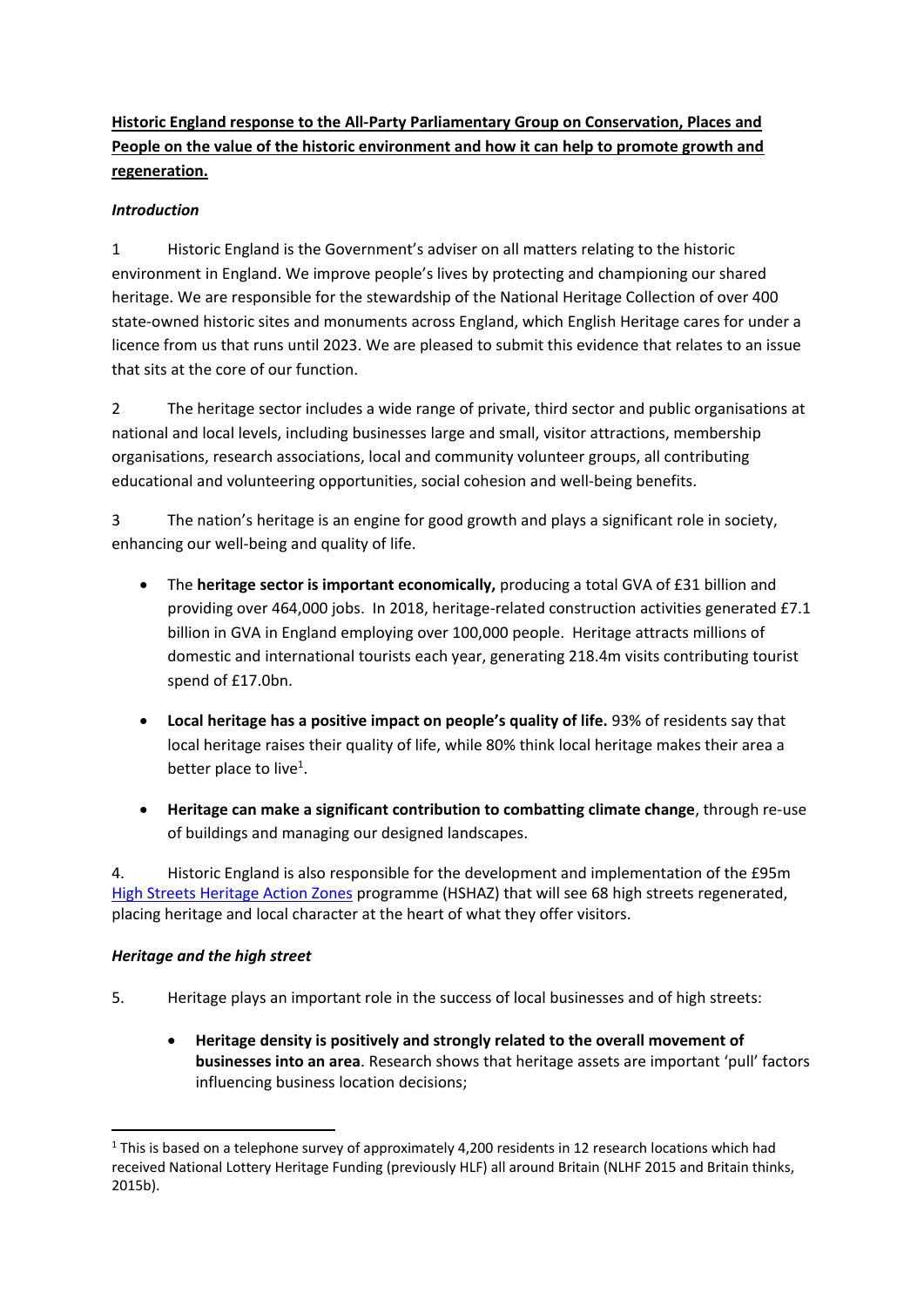**Historic England response to the All-Party Parliamentary Group on Conservation, Places and People on the value of the historic environment and how it can help to promote growth and regeneration.**

#### *Introduction*

1 Historic England is the Government's adviser on all matters relating to the historic environment in England. We improve people's lives by protecting and championing our shared heritage. We are responsible for the stewardship of the National Heritage Collection of over 400 state-owned historic sites and monuments across England, which English Heritage cares for under a licence from us that runs until 2023. We are pleased to submit this evidence that relates to an issue that sits at the core of our function.

2 The heritage sector includes a wide range of private, third sector and public organisations at national and local levels, including businesses large and small, visitor attractions, membership organisations, research associations, local and community volunteer groups, all contributing educational and volunteering opportunities, social cohesion and well-being benefits.

3 The nation's heritage is an engine for good growth and plays a significant role in society, enhancing our well-being and quality of life.

- The **heritage sector is important economically,** producing a total GVA of £31 billion and providing over 464,000 jobs. In 2018, heritage-related construction activities generated £7.1 billion in GVA in England employing over 100,000 people. Heritage attracts millions of domestic and international tourists each year, generating 218.4m visits contributing tourist spend of £17.0bn.
- **Local heritage has a positive impact on people's quality of life.** 93% of residents say that local heritage raises their quality of life, while 80% think local heritage makes their area a better place to live<sup>1</sup>.
- **Heritage can make a significant contribution to combatting climate change**, through re-use of buildings and managing our designed landscapes.

4. Historic England is also responsible for the development and implementation of the £95m High Streets [Heritage Action Zones](https://historicengland.org.uk/services-skills/heritage-action-zones/regenerating-historic-high-streets/) programme (HSHAZ) that will see 68 high streets regenerated, placing heritage and local character at the heart of what they offer visitors.

#### *Heritage and the high street*

- 5. Heritage plays an important role in the success of local businesses and of high streets:
	- **Heritage density is positively and strongly related to the overall movement of businesses into an area**. Research shows that heritage assets are important 'pull' factors influencing business location decisions;

 $1$  This is based on a telephone survey of approximately 4,200 residents in 12 research locations which had received National Lottery Heritage Funding (previously HLF) all around Britain (NLHF 2015 and Britain thinks, 2015b).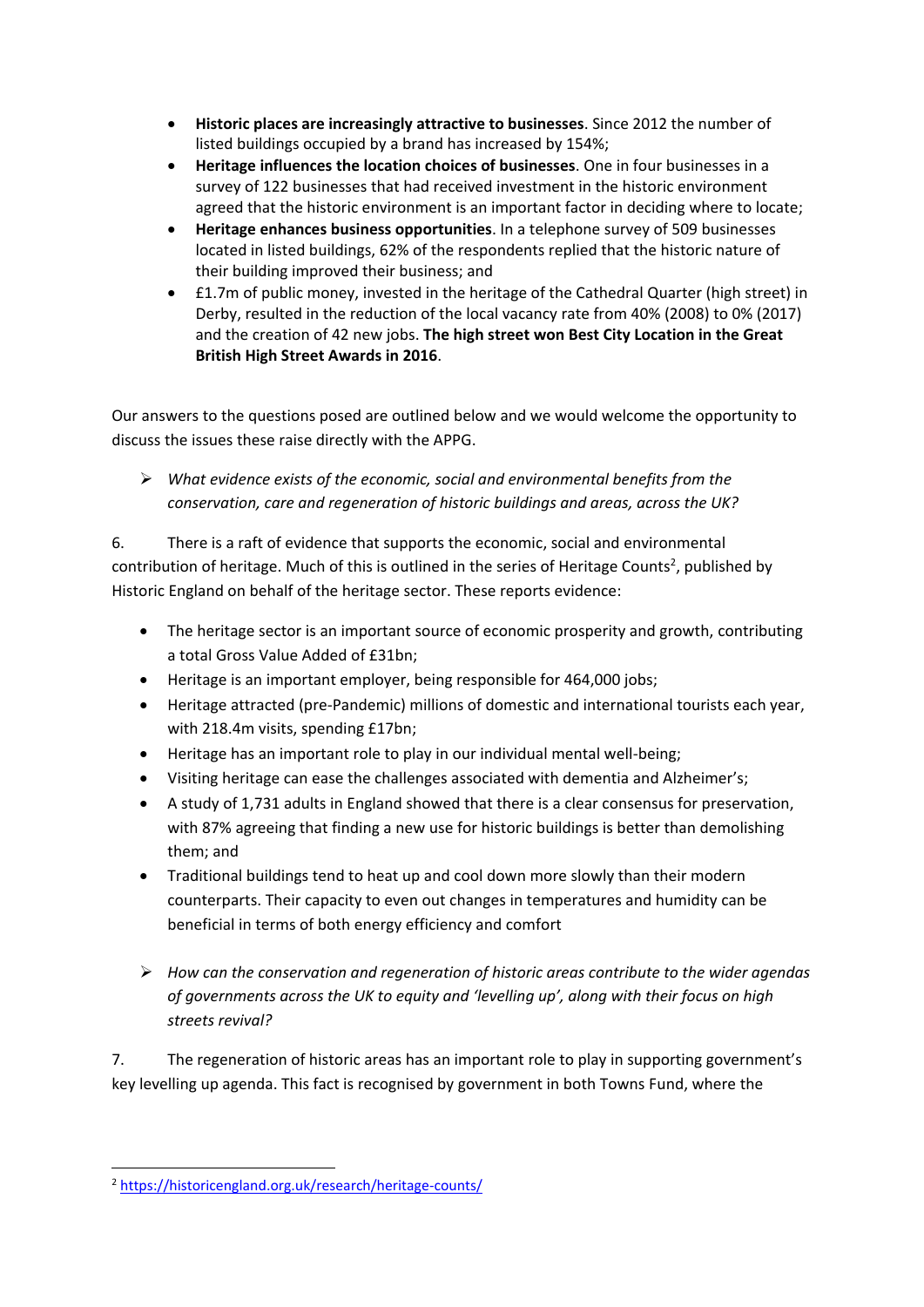- **Historic places are increasingly attractive to businesses**. Since 2012 the number of listed buildings occupied by a brand has increased by 154%;
- **Heritage influences the location choices of businesses**. One in four businesses in a survey of 122 businesses that had received investment in the historic environment agreed that the historic environment is an important factor in deciding where to locate;
- **Heritage enhances business opportunities**. In a telephone survey of 509 businesses located in listed buildings, 62% of the respondents replied that the historic nature of their building improved their business; and
- £1.7m of public money, invested in the heritage of the Cathedral Quarter (high street) in Derby, resulted in the reduction of the local vacancy rate from 40% (2008) to 0% (2017) and the creation of 42 new jobs. **The high street won Best City Location in the Great British High Street Awards in 2016**.

Our answers to the questions posed are outlined below and we would welcome the opportunity to discuss the issues these raise directly with the APPG.

➢ *What evidence exists of the economic, social and environmental benefits from the conservation, care and regeneration of historic buildings and areas, across the UK?*

6. There is a raft of evidence that supports the economic, social and environmental contribution of heritage. Much of this is outlined in the series of Heritage Counts<sup>2</sup>, published by Historic England on behalf of the heritage sector. These reports evidence:

- The heritage sector is an important source of economic prosperity and growth, contributing a total Gross Value Added of £31bn;
- Heritage is an important employer, being responsible for 464,000 jobs;
- Heritage attracted (pre-Pandemic) millions of domestic and international tourists each year, with 218.4m visits, spending £17bn;
- Heritage has an important role to play in our individual mental well-being;
- Visiting heritage can ease the challenges associated with dementia and Alzheimer's;
- A study of 1,731 adults in England showed that there is a clear consensus for preservation, with 87% agreeing that finding a new use for historic buildings is better than demolishing them; and
- Traditional buildings tend to heat up and cool down more slowly than their modern counterparts. Their capacity to even out changes in temperatures and humidity can be beneficial in terms of both energy efficiency and comfort
- ➢ *How can the conservation and regeneration of historic areas contribute to the wider agendas of governments across the UK to equity and 'levelling up', along with their focus on high streets revival?*

7. The regeneration of historic areas has an important role to play in supporting government's key levelling up agenda. This fact is recognised by government in both Towns Fund, where the

<sup>2</sup> <https://historicengland.org.uk/research/heritage-counts/>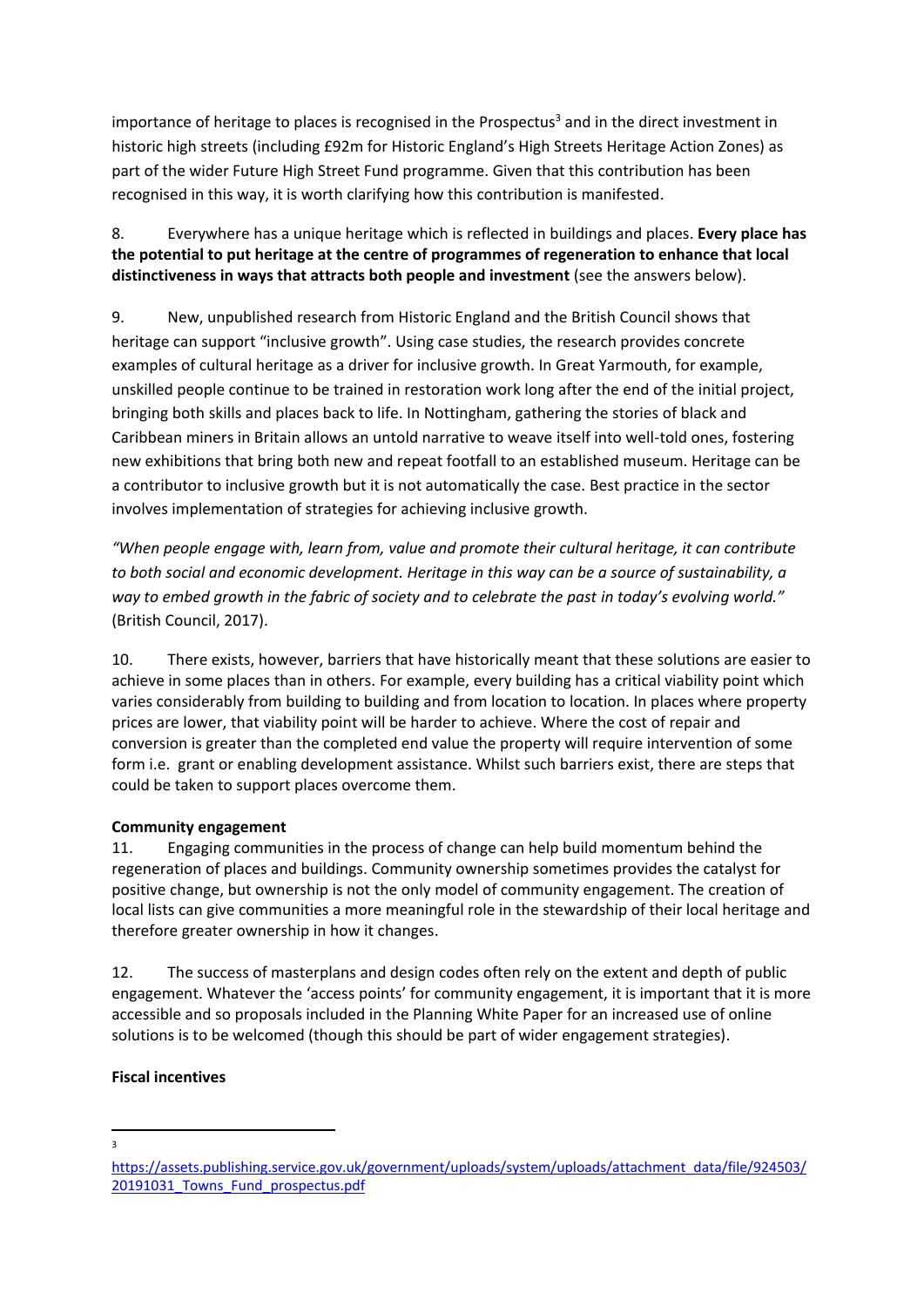importance of heritage to places is recognised in the Prospectus<sup>3</sup> and in the direct investment in historic high streets (including £92m for Historic England's High Streets Heritage Action Zones) as part of the wider Future High Street Fund programme. Given that this contribution has been recognised in this way, it is worth clarifying how this contribution is manifested.

8. Everywhere has a unique heritage which is reflected in buildings and places. **Every place has the potential to put heritage at the centre of programmes of regeneration to enhance that local distinctiveness in ways that attracts both people and investment** (see the answers below).

9. New, unpublished research from Historic England and the British Council shows that heritage can support "inclusive growth". Using case studies, the research provides concrete examples of cultural heritage as a driver for inclusive growth. In Great Yarmouth, for example, unskilled people continue to be trained in restoration work long after the end of the initial project, bringing both skills and places back to life. In Nottingham, gathering the stories of black and Caribbean miners in Britain allows an untold narrative to weave itself into well-told ones, fostering new exhibitions that bring both new and repeat footfall to an established museum. Heritage can be a contributor to inclusive growth but it is not automatically the case. Best practice in the sector involves implementation of strategies for achieving inclusive growth.

*"When people engage with, learn from, value and promote their cultural heritage, it can contribute to both social and economic development. Heritage in this way can be a source of sustainability, a way to embed growth in the fabric of society and to celebrate the past in today's evolving world."* (British Council, 2017).

10. There exists, however, barriers that have historically meant that these solutions are easier to achieve in some places than in others. For example, every building has a critical viability point which varies considerably from building to building and from location to location. In places where property prices are lower, that viability point will be harder to achieve. Where the cost of repair and conversion is greater than the completed end value the property will require intervention of some form i.e. grant or enabling development assistance. Whilst such barriers exist, there are steps that could be taken to support places overcome them.

#### **Community engagement**

11. Engaging communities in the process of change can help build momentum behind the regeneration of places and buildings. Community ownership sometimes provides the catalyst for positive change, but ownership is not the only model of community engagement. The creation of local lists can give communities a more meaningful role in the stewardship of their local heritage and therefore greater ownership in how it changes.

12. The success of masterplans and design codes often rely on the extent and depth of public engagement. Whatever the 'access points' for community engagement, it is important that it is more accessible and so proposals included in the Planning White Paper for an increased use of online solutions is to be welcomed (though this should be part of wider engagement strategies).

#### **Fiscal incentives**

3

[https://assets.publishing.service.gov.uk/government/uploads/system/uploads/attachment\\_data/file/924503/](https://assets.publishing.service.gov.uk/government/uploads/system/uploads/attachment_data/file/924503/20191031_Towns_Fund_prospectus.pdf) 20191031 Towns Fund prospectus.pdf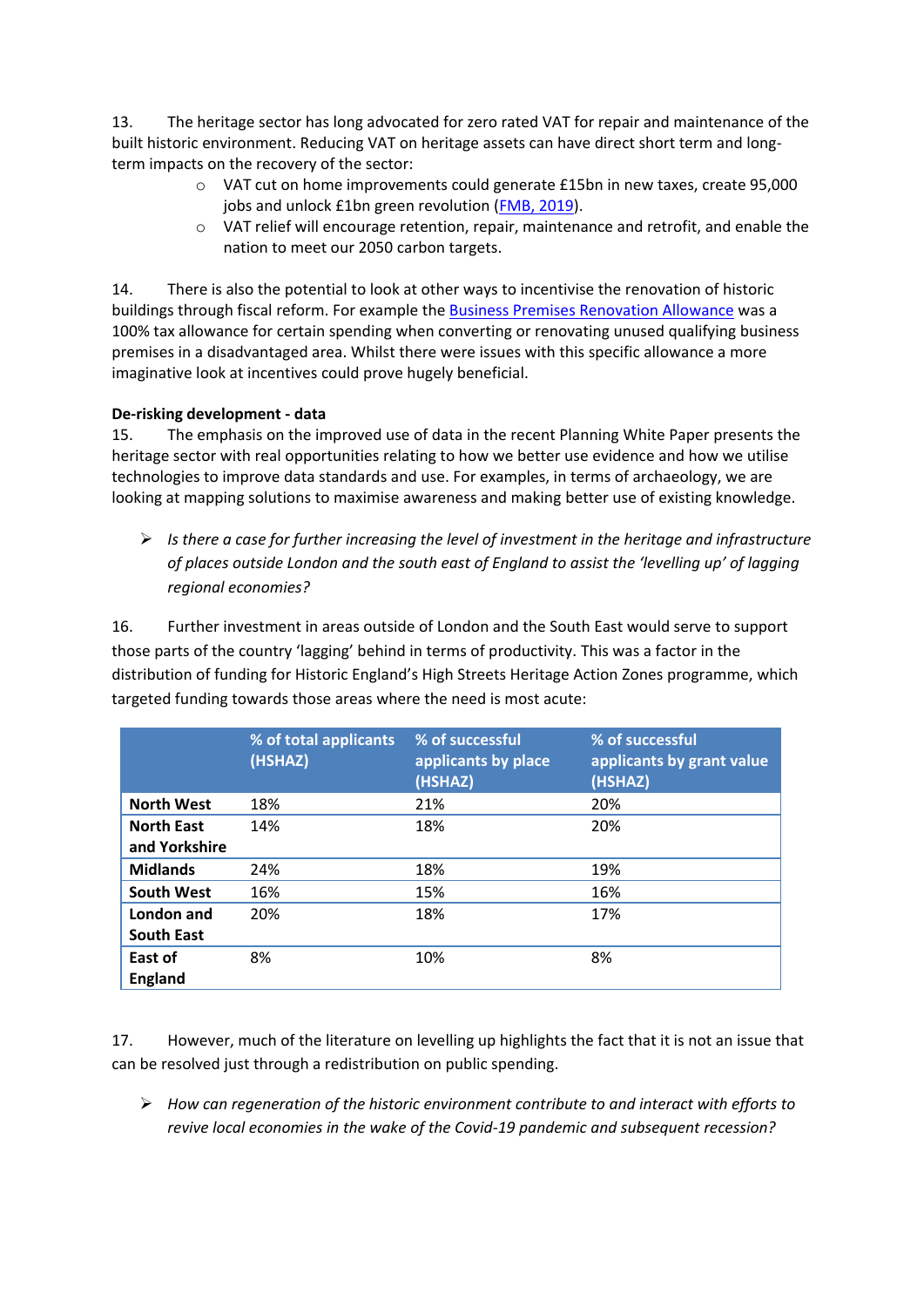13. The heritage sector has long advocated for zero rated VAT for repair and maintenance of the built historic environment. Reducing VAT on heritage assets can have direct short term and longterm impacts on the recovery of the sector:

- o VAT cut on home improvements could generate £15bn in new taxes, create 95,000 jobs and unlock £1bn green revolution [\(FMB, 2019\)](https://www.fmb.org.uk/about-the-fmb/newsroom/cut-the-vat-to-unleash-green-housing-revolution-party-leaders-urged/).
- o VAT relief will encourage retention, repair, maintenance and retrofit, and enable the nation to meet our 2050 carbon targets.

14. There is also the potential to look at other ways to incentivise the renovation of historic buildings through fiscal reform. For example th[e Business Premises Renovation Allowance](https://www.gov.uk/guidance/business-premises-renovation-allowance-bpra#:~:text=BPRA%20is%20a%20100%25%20tax,April%202007%20and%20ends%20on%3A&text=5%20April%202017%20for%20Income%20Tax) was a 100% tax allowance for certain spending when converting or renovating unused qualifying business premises in a disadvantaged area. Whilst there were issues with this specific allowance a more imaginative look at incentives could prove hugely beneficial.

#### **De-risking development - data**

15. The emphasis on the improved use of data in the recent Planning White Paper presents the heritage sector with real opportunities relating to how we better use evidence and how we utilise technologies to improve data standards and use. For examples, in terms of archaeology, we are looking at mapping solutions to maximise awareness and making better use of existing knowledge.

➢ *Is there a case for further increasing the level of investment in the heritage and infrastructure of places outside London and the south east of England to assist the 'levelling up' of lagging regional economies?*

16. Further investment in areas outside of London and the South East would serve to support those parts of the country 'lagging' behind in terms of productivity. This was a factor in the distribution of funding for Historic England's High Streets Heritage Action Zones programme, which targeted funding towards those areas where the need is most acute:

|                                    | % of total applicants<br>(HSHAZ) | % of successful<br>applicants by place<br>(HSHAZ) | % of successful<br>applicants by grant value<br>(HSHAZ) |
|------------------------------------|----------------------------------|---------------------------------------------------|---------------------------------------------------------|
| <b>North West</b>                  | 18%                              | 21%                                               | 20%                                                     |
| <b>North East</b><br>and Yorkshire | 14%                              | 18%                                               | 20%                                                     |
| <b>Midlands</b>                    | 24%                              | 18%                                               | 19%                                                     |
| <b>South West</b>                  | 16%                              | 15%                                               | 16%                                                     |
| London and<br><b>South East</b>    | 20%                              | 18%                                               | 17%                                                     |
| East of<br><b>England</b>          | 8%                               | 10%                                               | 8%                                                      |

17. However, much of the literature on levelling up highlights the fact that it is not an issue that can be resolved just through a redistribution on public spending.

➢ *How can regeneration of the historic environment contribute to and interact with efforts to revive local economies in the wake of the Covid-19 pandemic and subsequent recession?*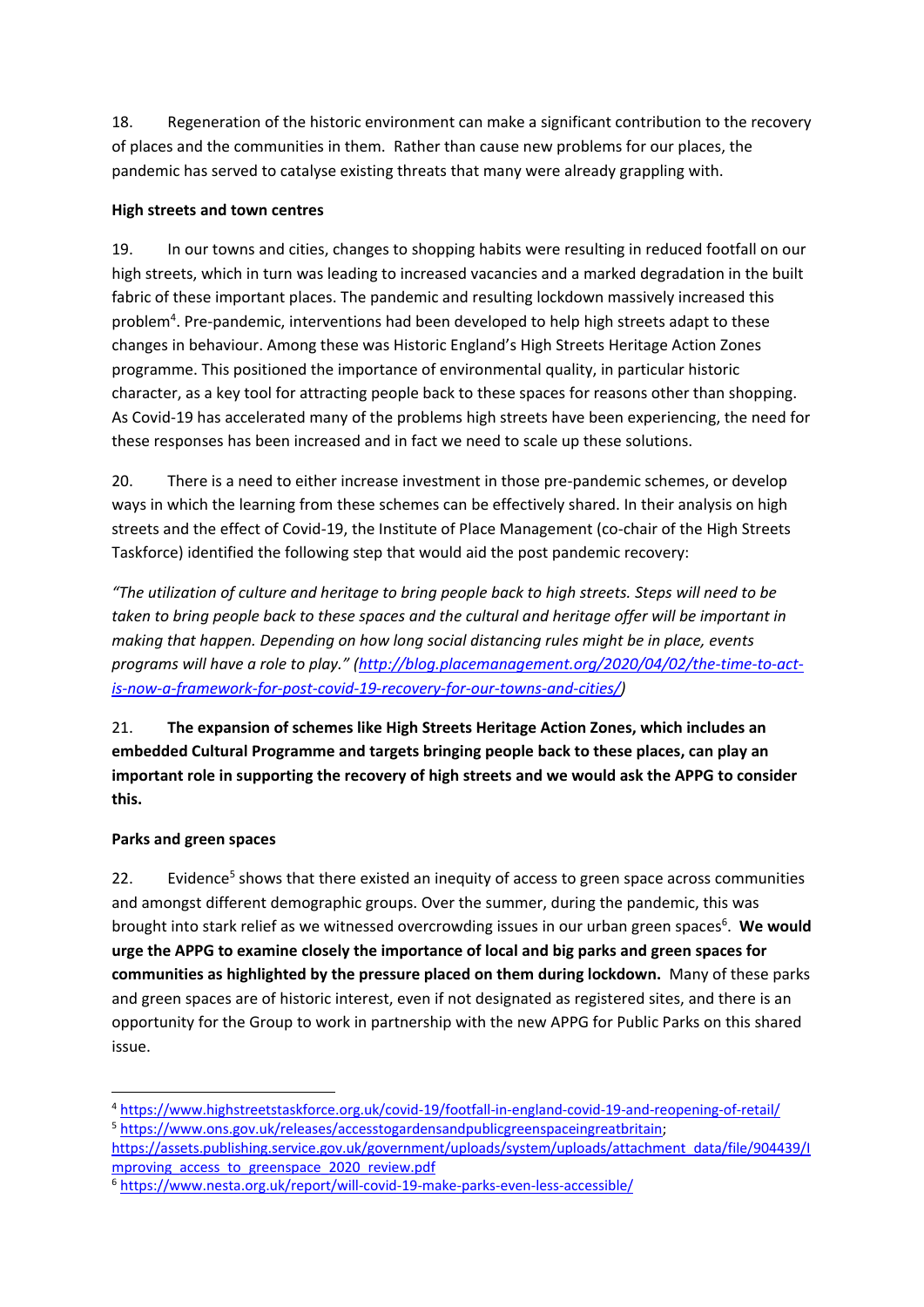18. Regeneration of the historic environment can make a significant contribution to the recovery of places and the communities in them. Rather than cause new problems for our places, the pandemic has served to catalyse existing threats that many were already grappling with.

### **High streets and town centres**

19. In our towns and cities, changes to shopping habits were resulting in reduced footfall on our high streets, which in turn was leading to increased vacancies and a marked degradation in the built fabric of these important places. The pandemic and resulting lockdown massively increased this problem<sup>4</sup>. Pre-pandemic, interventions had been developed to help high streets adapt to these changes in behaviour. Among these was Historic England's High Streets Heritage Action Zones programme. This positioned the importance of environmental quality, in particular historic character, as a key tool for attracting people back to these spaces for reasons other than shopping. As Covid-19 has accelerated many of the problems high streets have been experiencing, the need for these responses has been increased and in fact we need to scale up these solutions.

20. There is a need to either increase investment in those pre-pandemic schemes, or develop ways in which the learning from these schemes can be effectively shared. In their analysis on high streets and the effect of Covid-19, the Institute of Place Management (co-chair of the High Streets Taskforce) identified the following step that would aid the post pandemic recovery:

*"The utilization of culture and heritage to bring people back to high streets. Steps will need to be taken to bring people back to these spaces and the cultural and heritage offer will be important in making that happen. Depending on how long social distancing rules might be in place, events programs will have a role to play." ([http://blog.placemanagement.org/2020/04/02/the-time-to-act](http://blog.placemanagement.org/2020/04/02/the-time-to-act-is-now-a-framework-for-post-covid-19-recovery-for-our-towns-and-cities/)[is-now-a-framework-for-post-covid-19-recovery-for-our-towns-and-cities/\)](http://blog.placemanagement.org/2020/04/02/the-time-to-act-is-now-a-framework-for-post-covid-19-recovery-for-our-towns-and-cities/)*

21. **The expansion of schemes like High Streets Heritage Action Zones, which includes an embedded Cultural Programme and targets bringing people back to these places, can play an important role in supporting the recovery of high streets and we would ask the APPG to consider this.**

### **Parks and green spaces**

22. Evidence<sup>5</sup> shows that there existed an inequity of access to green space across communities and amongst different demographic groups. Over the summer, during the pandemic, this was brought into stark relief as we witnessed overcrowding issues in our urban green spaces<sup>6</sup>. We would **urge the APPG to examine closely the importance of local and big parks and green spaces for communities as highlighted by the pressure placed on them during lockdown.** Many of these parks and green spaces are of historic interest, even if not designated as registered sites, and there is an opportunity for the Group to work in partnership with the new APPG for Public Parks on this shared issue.

<sup>4</sup> <https://www.highstreetstaskforce.org.uk/covid-19/footfall-in-england-covid-19-and-reopening-of-retail/> <sup>5</sup> [https://www.ons.gov.uk/releases/accesstogardensandpublicgreenspaceingreatbritain;](https://www.ons.gov.uk/releases/accesstogardensandpublicgreenspaceingreatbritain)

[https://assets.publishing.service.gov.uk/government/uploads/system/uploads/attachment\\_data/file/904439/I](https://assets.publishing.service.gov.uk/government/uploads/system/uploads/attachment_data/file/904439/Improving_access_to_greenspace_2020_review.pdf) mproving access to greenspace 2020 review.pdf

<sup>6</sup> <https://www.nesta.org.uk/report/will-covid-19-make-parks-even-less-accessible/>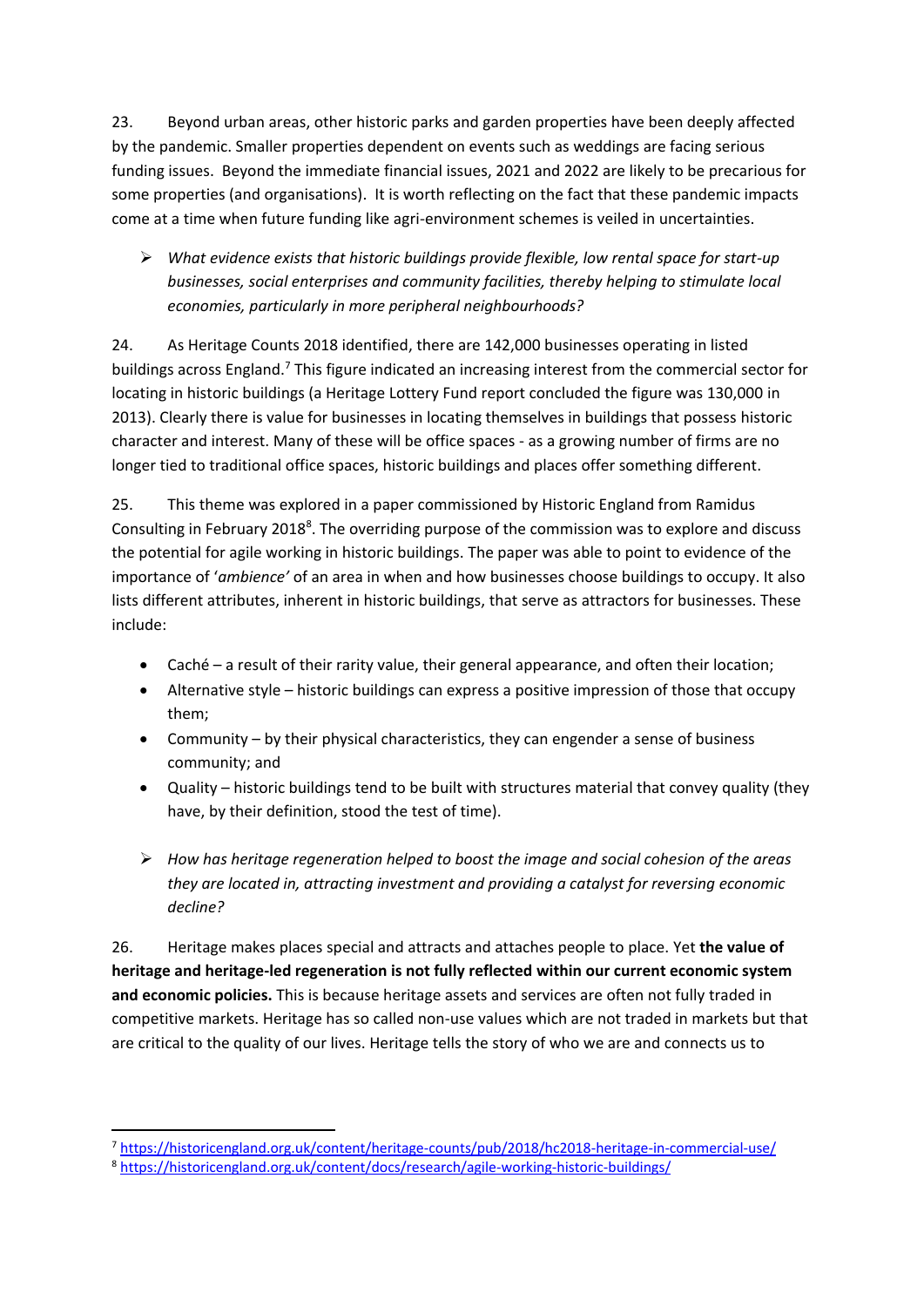23. Beyond urban areas, other historic parks and garden properties have been deeply affected by the pandemic. Smaller properties dependent on events such as weddings are facing serious funding issues. Beyond the immediate financial issues, 2021 and 2022 are likely to be precarious for some properties (and organisations). It is worth reflecting on the fact that these pandemic impacts come at a time when future funding like agri-environment schemes is veiled in uncertainties.

➢ *What evidence exists that historic buildings provide flexible, low rental space for start-up businesses, social enterprises and community facilities, thereby helping to stimulate local economies, particularly in more peripheral neighbourhoods?* 

24. As Heritage Counts 2018 identified, there are 142,000 businesses operating in listed buildings across England.<sup>7</sup> This figure indicated an increasing interest from the commercial sector for locating in historic buildings (a Heritage Lottery Fund report concluded the figure was 130,000 in 2013). Clearly there is value for businesses in locating themselves in buildings that possess historic character and interest. Many of these will be office spaces - as a growing number of firms are no longer tied to traditional office spaces, historic buildings and places offer something different.

25. This theme was explored in a paper commissioned by Historic England from Ramidus Consulting in February 2018<sup>8</sup>. The overriding purpose of the commission was to explore and discuss the potential for agile working in historic buildings. The paper was able to point to evidence of the importance of '*ambience'* of an area in when and how businesses choose buildings to occupy. It also lists different attributes, inherent in historic buildings, that serve as attractors for businesses. These include:

- Caché a result of their rarity value, their general appearance, and often their location;
- Alternative style historic buildings can express a positive impression of those that occupy them;
- Community by their physical characteristics, they can engender a sense of business community; and
- Quality historic buildings tend to be built with structures material that convey quality (they have, by their definition, stood the test of time).
- ➢ *How has heritage regeneration helped to boost the image and social cohesion of the areas they are located in, attracting investment and providing a catalyst for reversing economic decline?*

26. Heritage makes places special and attracts and attaches people to place. Yet **the value of heritage and heritage-led regeneration is not fully reflected within our current economic system and economic policies.** This is because heritage assets and services are often not fully traded in competitive markets. Heritage has so called non-use values which are not traded in markets but that are critical to the quality of our lives. Heritage tells the story of who we are and connects us to

<sup>7</sup> <https://historicengland.org.uk/content/heritage-counts/pub/2018/hc2018-heritage-in-commercial-use/>

<sup>8</sup> <https://historicengland.org.uk/content/docs/research/agile-working-historic-buildings/>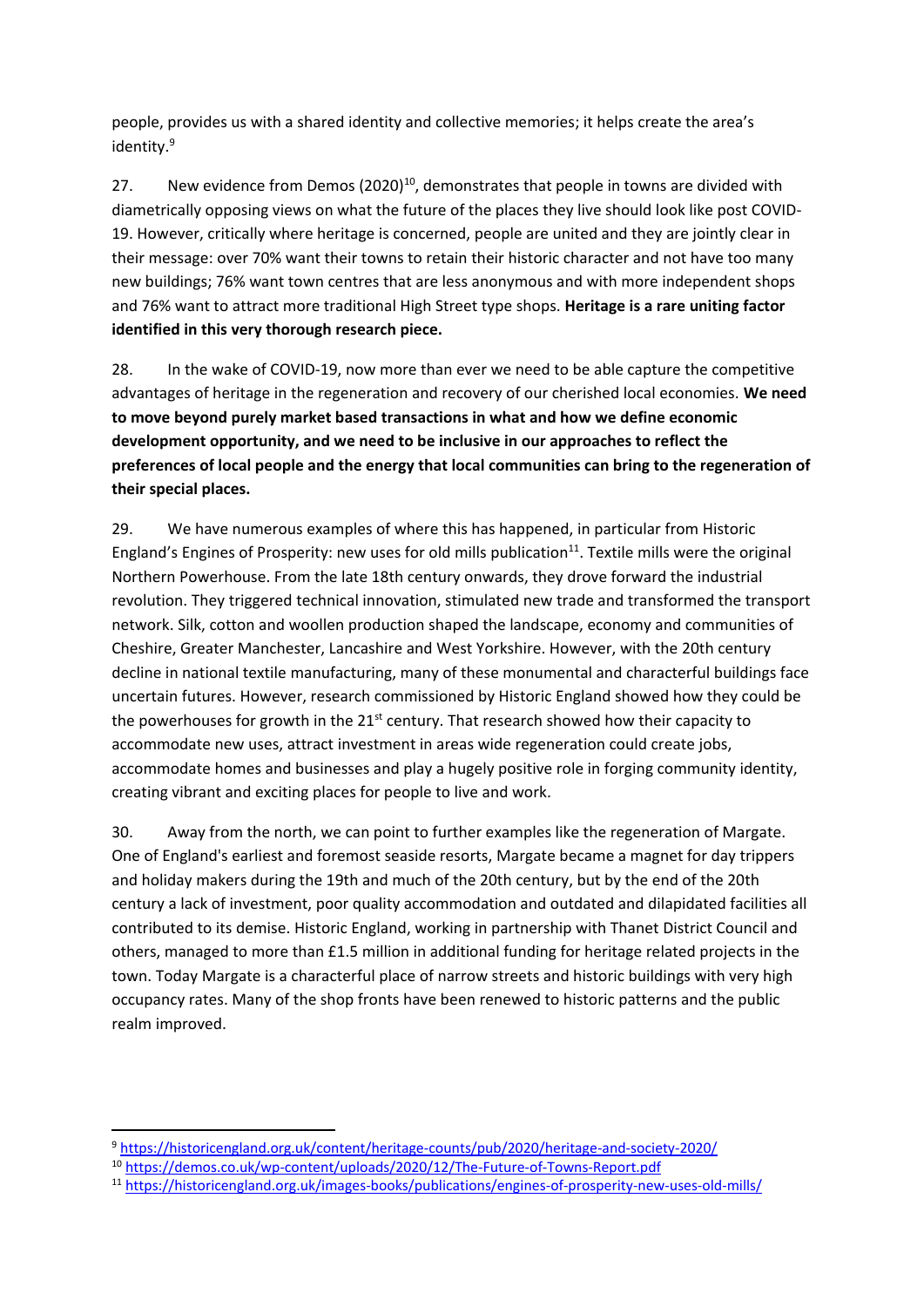people, provides us with a shared identity and collective memories; it helps create the area's identity. 9

27. New evidence from Demos  $(2020)^{10}$ , demonstrates that people in towns are divided with diametrically opposing views on what the future of the places they live should look like post COVID-19. However, critically where heritage is concerned, people are united and they are jointly clear in their message: over 70% want their towns to retain their historic character and not have too many new buildings; 76% want town centres that are less anonymous and with more independent shops and 76% want to attract more traditional High Street type shops. **Heritage is a rare uniting factor identified in this very thorough research piece.**

28. In the wake of COVID-19, now more than ever we need to be able capture the competitive advantages of heritage in the regeneration and recovery of our cherished local economies. **We need to move beyond purely market based transactions in what and how we define economic development opportunity, and we need to be inclusive in our approaches to reflect the preferences of local people and the energy that local communities can bring to the regeneration of their special places.** 

29. We have numerous examples of where this has happened, in particular from Historic England's Engines of Prosperity: new uses for old mills publication<sup>11</sup>. Textile mills were the original Northern Powerhouse. From the late 18th century onwards, they drove forward the industrial revolution. They triggered technical innovation, stimulated new trade and transformed the transport network. Silk, cotton and woollen production shaped the landscape, economy and communities of Cheshire, Greater Manchester, Lancashire and West Yorkshire. However, with the 20th century decline in national textile manufacturing, many of these monumental and characterful buildings face uncertain futures. However, research commissioned by Historic England showed how they could be the powerhouses for growth in the 21<sup>st</sup> century. That research showed how their capacity to accommodate new uses, attract investment in areas wide regeneration could create jobs, accommodate homes and businesses and play a hugely positive role in forging community identity, creating vibrant and exciting places for people to live and work.

30. Away from the north, we can point to further examples like the regeneration of Margate. One of England's earliest and foremost seaside resorts, Margate became a magnet for day trippers and holiday makers during the 19th and much of the 20th century, but by the end of the 20th century a lack of investment, poor quality accommodation and outdated and dilapidated facilities all contributed to its demise. Historic England, working in partnership with Thanet District Council and others, managed to more than £1.5 million in additional funding for heritage related projects in the town. Today Margate is a characterful place of narrow streets and historic buildings with very high occupancy rates. Many of the shop fronts have been renewed to historic patterns and the public realm improved.

<sup>9</sup> <https://historicengland.org.uk/content/heritage-counts/pub/2020/heritage-and-society-2020/>

<sup>10</sup> <https://demos.co.uk/wp-content/uploads/2020/12/The-Future-of-Towns-Report.pdf>

<sup>11</sup> <https://historicengland.org.uk/images-books/publications/engines-of-prosperity-new-uses-old-mills/>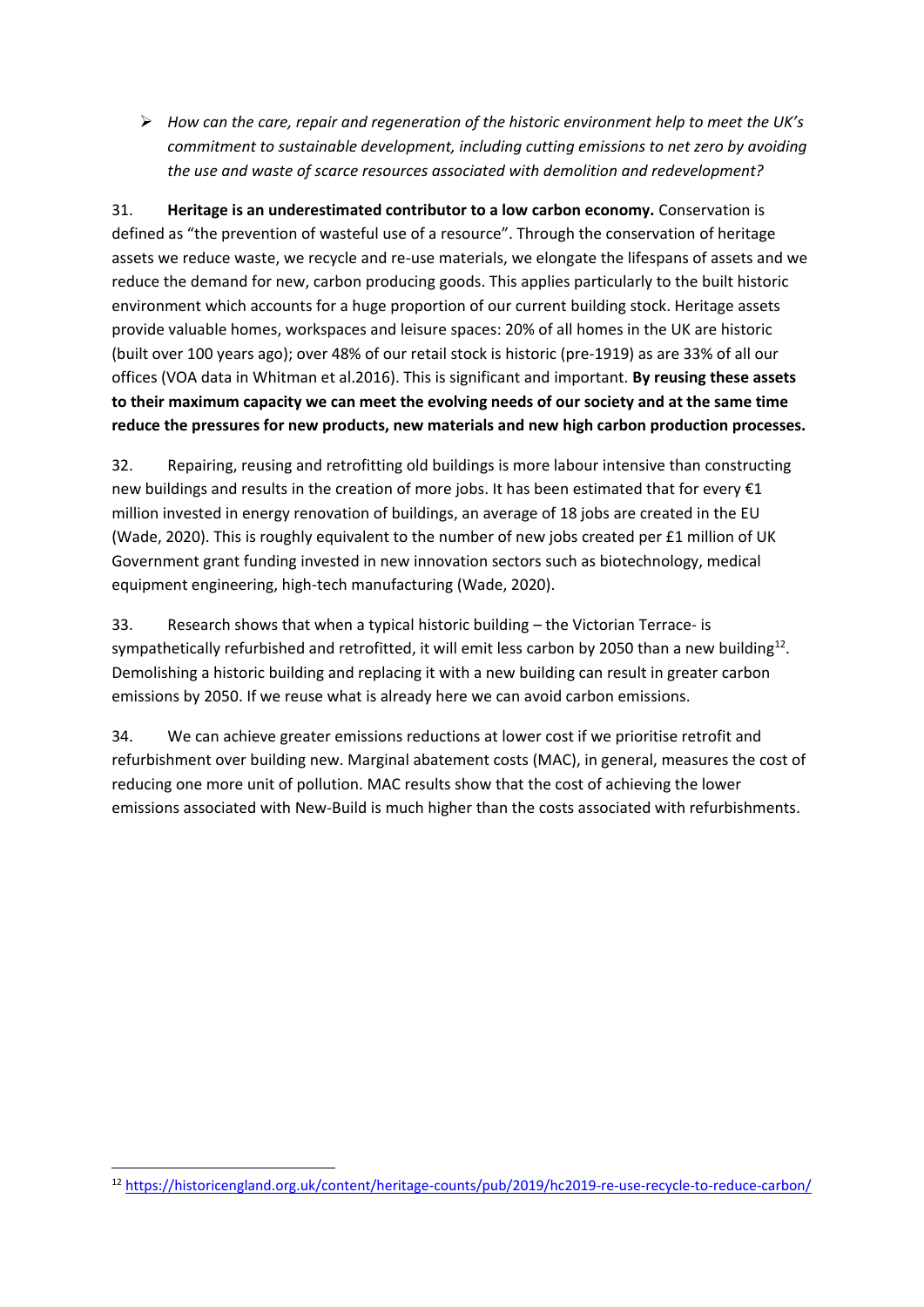➢ *How can the care, repair and regeneration of the historic environment help to meet the UK's commitment to sustainable development, including cutting emissions to net zero by avoiding the use and waste of scarce resources associated with demolition and redevelopment?* 

31. **Heritage is an underestimated contributor to a low carbon economy.** Conservation is defined as "the prevention of wasteful use of a resource". Through the conservation of heritage assets we reduce waste, we recycle and re-use materials, we elongate the lifespans of assets and we reduce the demand for new, carbon producing goods. This applies particularly to the built historic environment which accounts for a huge proportion of our current building stock. Heritage assets provide valuable homes, workspaces and leisure spaces: 20% of all homes in the UK are historic (built over 100 years ago); over 48% of our retail stock is historic (pre-1919) as are 33% of all our offices (VOA data in Whitman et al.2016). This is significant and important. **By reusing these assets to their maximum capacity we can meet the evolving needs of our society and at the same time reduce the pressures for new products, new materials and new high carbon production processes.**

32. Repairing, reusing and retrofitting old buildings is more labour intensive than constructing new buildings and results in the creation of more jobs. It has been estimated that for every €1 million invested in energy renovation of buildings, an average of 18 jobs are created in the EU (Wade, 2020). This is roughly equivalent to the number of new jobs created per £1 million of UK Government grant funding invested in new innovation sectors such as biotechnology, medical equipment engineering, high-tech manufacturing (Wade, 2020).

33. Research shows that when a typical historic building – the Victorian Terrace- is sympathetically refurbished and retrofitted, it will emit less carbon by 2050 than a new building<sup>12</sup>. Demolishing a historic building and replacing it with a new building can result in greater carbon emissions by 2050. If we reuse what is already here we can avoid carbon emissions.

34. We can achieve greater emissions reductions at lower cost if we prioritise retrofit and refurbishment over building new. Marginal abatement costs (MAC), in general, measures the cost of reducing one more unit of pollution. MAC results show that the cost of achieving the lower emissions associated with New-Build is much higher than the costs associated with refurbishments.

<sup>12</sup> <https://historicengland.org.uk/content/heritage-counts/pub/2019/hc2019-re-use-recycle-to-reduce-carbon/>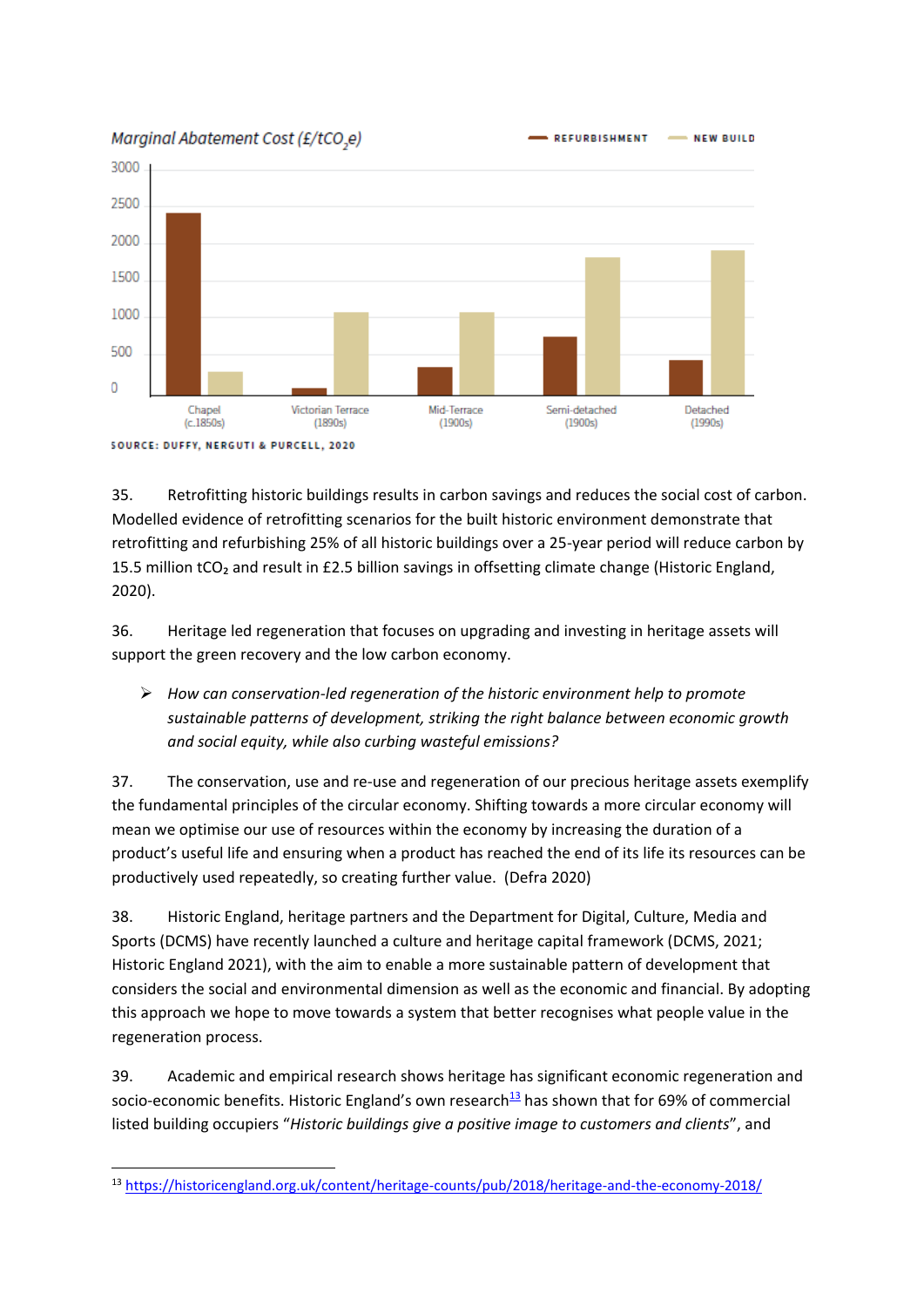Marginal Abatement Cost (£/tCO.e)



35. Retrofitting historic buildings results in carbon savings and reduces the social cost of carbon. Modelled evidence of retrofitting scenarios for the built historic environment demonstrate that retrofitting and refurbishing 25% of all historic buildings over a 25-year period will reduce carbon by 15.5 million tCO<sub>2</sub> and result in £2.5 billion savings in offsetting climate change (Historic England, 2020).

36. Heritage led regeneration that focuses on upgrading and investing in heritage assets will support the green recovery and the low carbon economy.

➢ *How can conservation-led regeneration of the historic environment help to promote sustainable patterns of development, striking the right balance between economic growth and social equity, while also curbing wasteful emissions?* 

37. The conservation, use and re-use and regeneration of our precious heritage assets exemplify the fundamental principles of the circular economy. Shifting towards a more circular economy will mean we optimise our use of resources within the economy by increasing the duration of a product's useful life and ensuring when a product has reached the end of its life its resources can be productively used repeatedly, so creating further value. (Defra 2020)

38. Historic England, heritage partners and the Department for Digital, Culture, Media and Sports (DCMS) have recently launched a culture and heritage capital framework (DCMS, 2021; Historic England 2021), with the aim to enable a more sustainable pattern of development that considers the social and environmental dimension as well as the economic and financial. By adopting this approach we hope to move towards a system that better recognises what people value in the regeneration process.

39. Academic and empirical research shows heritage has significant economic regeneration and socio-economic benefits. Historic England's own research $13$  has shown that for 69% of commercial listed building occupiers "*Historic buildings give a positive image to customers and clients*", and

<sup>13</sup> <https://historicengland.org.uk/content/heritage-counts/pub/2018/heritage-and-the-economy-2018/>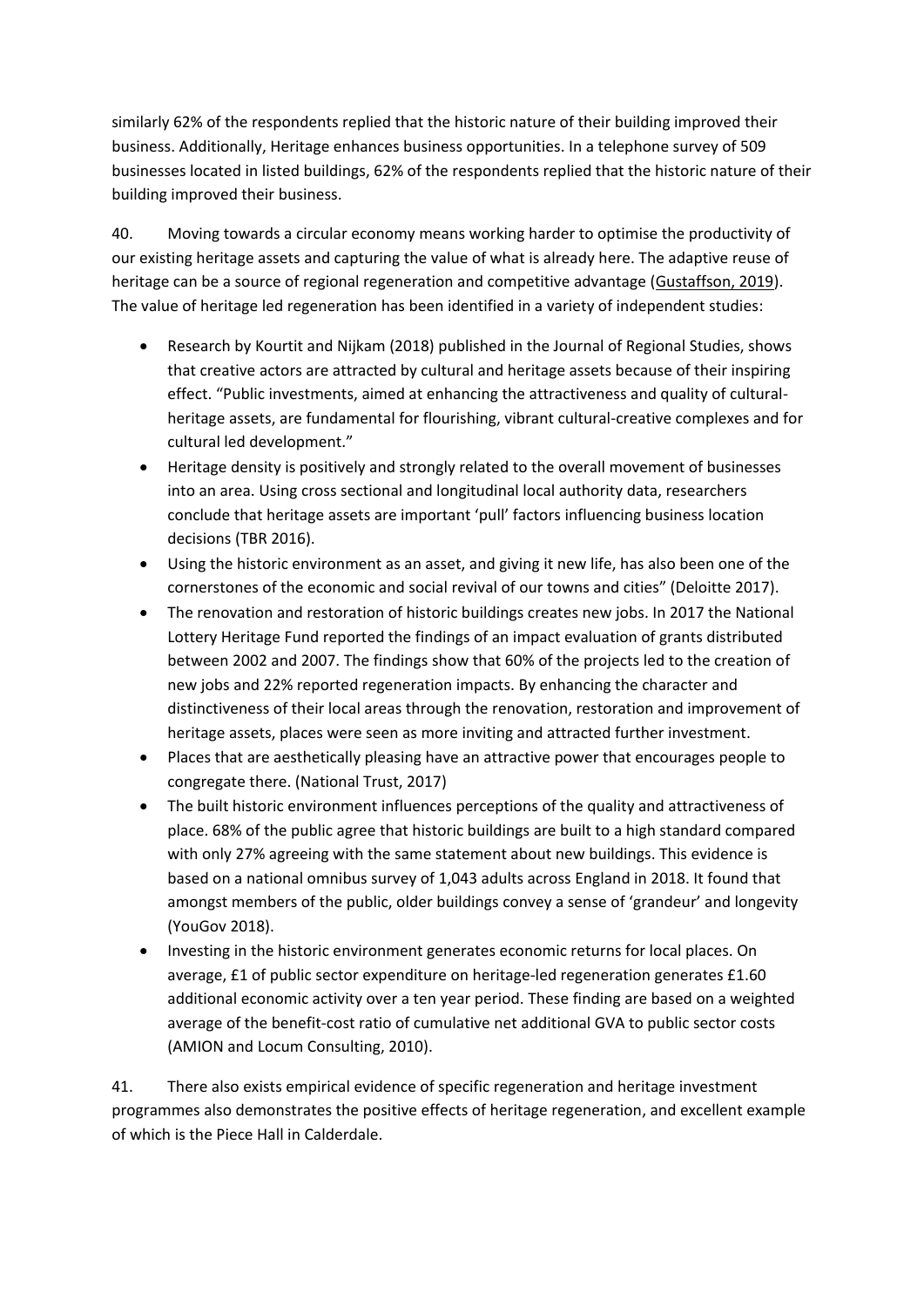similarly 62% of the respondents replied that the historic nature of their building improved their business. Additionally, Heritage enhances business opportunities. In a telephone survey of 509 businesses located in listed buildings, 62% of the respondents replied that the historic nature of their building improved their business.

40. Moving towards a circular economy means working harder to optimise the productivity of our existing heritage assets and capturing the value of what is already here. The adaptive reuse of heritage can be a source of regional regeneration and competitive advantage [\(Gustaffson, 2019\)](http://www.sciresit.it/article/view/13067). The value of heritage led regeneration has been identified in a variety of independent studies:

- Research by Kourtit and Nijkam (2018) published in the Journal of Regional Studies, shows that creative actors are attracted by cultural and heritage assets because of their inspiring effect. "Public investments, aimed at enhancing the attractiveness and quality of culturalheritage assets, are fundamental for flourishing, vibrant cultural-creative complexes and for cultural led development."
- Heritage density is positively and strongly related to the overall movement of businesses into an area. Using cross sectional and longitudinal local authority data, researchers conclude that heritage assets are important 'pull' factors influencing business location decisions (TBR 2016).
- Using the historic environment as an asset, and giving it new life, has also been one of the cornerstones of the economic and social revival of our towns and cities" (Deloitte 2017).
- The renovation and restoration of historic buildings creates new jobs. In 2017 the National Lottery Heritage Fund reported the findings of an impact evaluation of grants distributed between 2002 and 2007. The findings show that 60% of the projects led to the creation of new jobs and 22% reported regeneration impacts. By enhancing the character and distinctiveness of their local areas through the renovation, restoration and improvement of heritage assets, places were seen as more inviting and attracted further investment.
- Places that are aesthetically pleasing have an attractive power that encourages people to congregate there. (National Trust, 2017)
- The built historic environment influences perceptions of the quality and attractiveness of place. 68% of the public agree that historic buildings are built to a high standard compared with only 27% agreeing with the same statement about new buildings. This evidence is based on a national omnibus survey of 1,043 adults across England in 2018. It found that amongst members of the public, older buildings convey a sense of 'grandeur' and longevity (YouGov 2018).
- Investing in the historic environment generates economic returns for local places. On average, £1 of public sector expenditure on heritage-led regeneration generates £1.60 additional economic activity over a ten year period. These finding are based on a weighted average of the benefit-cost ratio of cumulative net additional GVA to public sector costs (AMION and Locum Consulting, 2010).

41. There also exists empirical evidence of specific regeneration and heritage investment programmes also demonstrates the positive effects of heritage regeneration, and excellent example of which is the Piece Hall in Calderdale.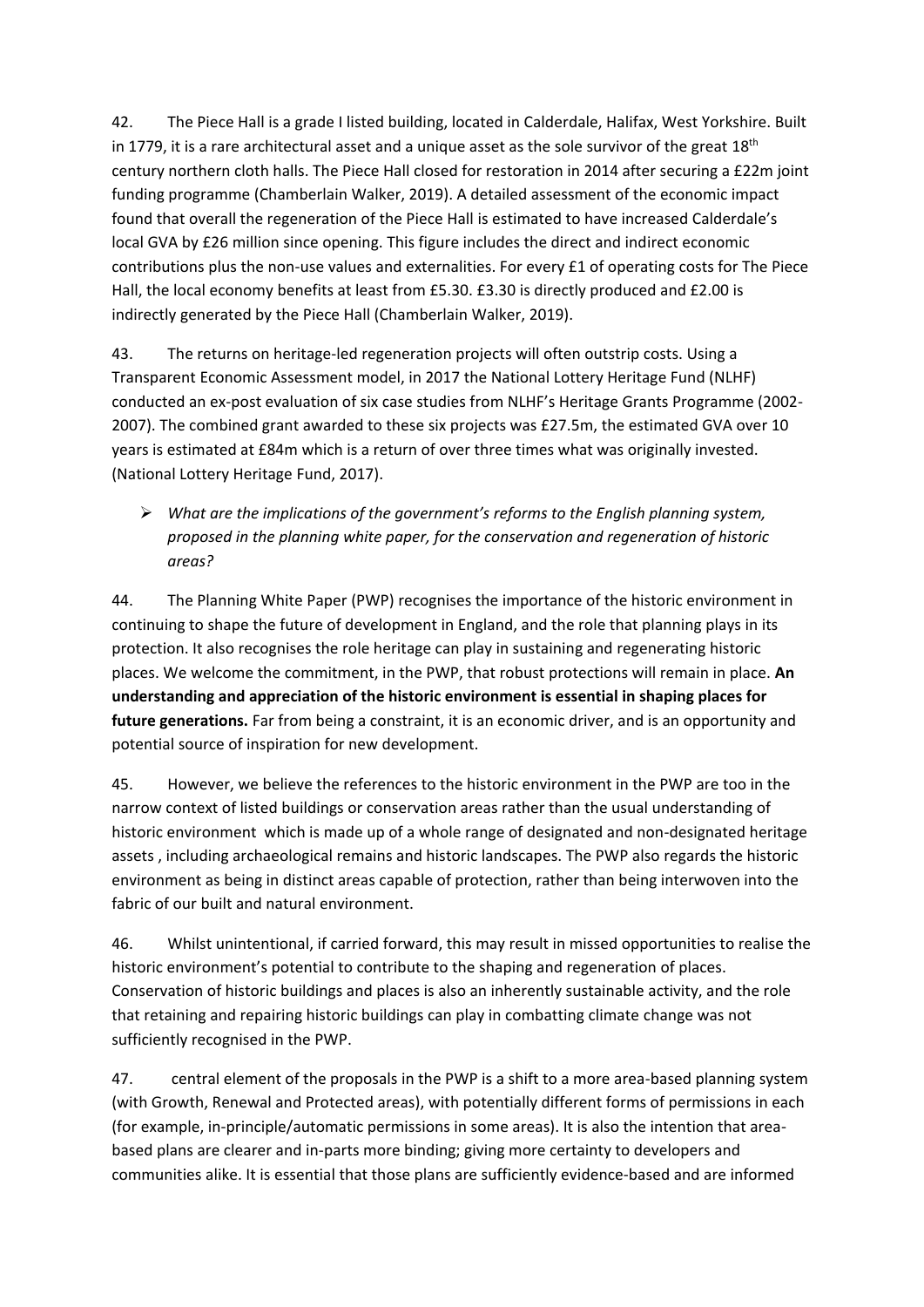42. The Piece Hall is a grade I listed building, located in Calderdale, Halifax, West Yorkshire. Built in 1779, it is a rare architectural asset and a unique asset as the sole survivor of the great 18<sup>th</sup> century northern cloth halls. The Piece Hall closed for restoration in 2014 after securing a £22m joint funding programme (Chamberlain Walker, 2019). A detailed assessment of the economic impact found that overall the regeneration of the Piece Hall is estimated to have increased Calderdale's local GVA by £26 million since opening. This figure includes the direct and indirect economic contributions plus the non-use values and externalities. For every £1 of operating costs for The Piece Hall, the local economy benefits at least from £5.30. £3.30 is directly produced and £2.00 is indirectly generated by the Piece Hall (Chamberlain Walker, 2019).

43. The returns on heritage-led regeneration projects will often outstrip costs. Using a Transparent Economic Assessment model, in 2017 the National Lottery Heritage Fund (NLHF) conducted an ex-post evaluation of six case studies from NLHF's Heritage Grants Programme (2002- 2007). The combined grant awarded to these six projects was £27.5m, the estimated GVA over 10 years is estimated at £84m which is a return of over three times what was originally invested. (National Lottery Heritage Fund, 2017).

➢ *What are the implications of the government's reforms to the English planning system, proposed in the planning white paper, for the conservation and regeneration of historic areas?* 

44. The Planning White Paper (PWP) recognises the importance of the historic environment in continuing to shape the future of development in England, and the role that planning plays in its protection. It also recognises the role heritage can play in sustaining and regenerating historic places. We welcome the commitment, in the PWP, that robust protections will remain in place. **An understanding and appreciation of the historic environment is essential in shaping places for future generations.** Far from being a constraint, it is an economic driver, and is an opportunity and potential source of inspiration for new development.

45. However, we believe the references to the historic environment in the PWP are too in the narrow context of listed buildings or conservation areas rather than the usual understanding of historic environment which is made up of a whole range of designated and non-designated heritage assets , including archaeological remains and historic landscapes. The PWP also regards the historic environment as being in distinct areas capable of protection, rather than being interwoven into the fabric of our built and natural environment.

46. Whilst unintentional, if carried forward, this may result in missed opportunities to realise the historic environment's potential to contribute to the shaping and regeneration of places. Conservation of historic buildings and places is also an inherently sustainable activity, and the role that retaining and repairing historic buildings can play in combatting climate change was not sufficiently recognised in the PWP.

47. central element of the proposals in the PWP is a shift to a more area-based planning system (with Growth, Renewal and Protected areas), with potentially different forms of permissions in each (for example, in-principle/automatic permissions in some areas). It is also the intention that areabased plans are clearer and in-parts more binding; giving more certainty to developers and communities alike. It is essential that those plans are sufficiently evidence-based and are informed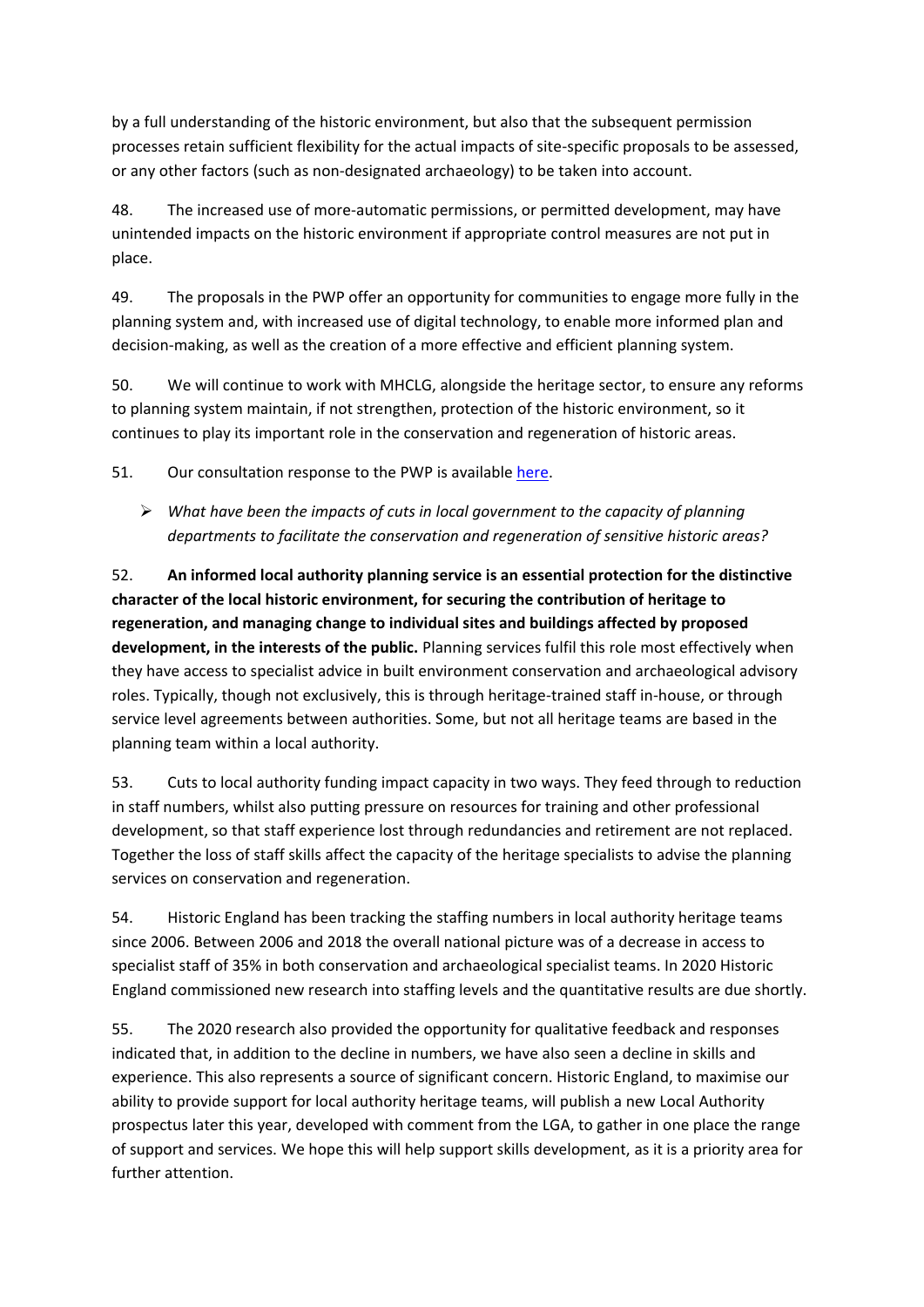by a full understanding of the historic environment, but also that the subsequent permission processes retain sufficient flexibility for the actual impacts of site-specific proposals to be assessed, or any other factors (such as non-designated archaeology) to be taken into account.

48. The increased use of more-automatic permissions, or permitted development, may have unintended impacts on the historic environment if appropriate control measures are not put in place.

49. The proposals in the PWP offer an opportunity for communities to engage more fully in the planning system and, with increased use of digital technology, to enable more informed plan and decision-making, as well as the creation of a more effective and efficient planning system.

50. We will continue to work with MHCLG, alongside the heritage sector, to ensure any reforms to planning system maintain, if not strengthen, protection of the historic environment, so it continues to play its important role in the conservation and regeneration of historic areas.

51. Our consultation response to the PWP is available [here.](https://historicengland.org.uk/content/docs/consultations/response-planning-for-the-future-oct20/)

➢ *What have been the impacts of cuts in local government to the capacity of planning departments to facilitate the conservation and regeneration of sensitive historic areas?* 

52. **An informed local authority planning service is an essential protection for the distinctive character of the local historic environment, for securing the contribution of heritage to regeneration, and managing change to individual sites and buildings affected by proposed development, in the interests of the public.** Planning services fulfil this role most effectively when they have access to specialist advice in built environment conservation and archaeological advisory roles. Typically, though not exclusively, this is through heritage-trained staff in-house, or through service level agreements between authorities. Some, but not all heritage teams are based in the planning team within a local authority.

53. Cuts to local authority funding impact capacity in two ways. They feed through to reduction in staff numbers, whilst also putting pressure on resources for training and other professional development, so that staff experience lost through redundancies and retirement are not replaced. Together the loss of staff skills affect the capacity of the heritage specialists to advise the planning services on conservation and regeneration.

54. Historic England has been tracking the staffing numbers in local authority heritage teams since 2006. Between 2006 and 2018 the overall national picture was of a decrease in access to specialist staff of 35% in both conservation and archaeological specialist teams. In 2020 Historic England commissioned new research into staffing levels and the quantitative results are due shortly.

55. The 2020 research also provided the opportunity for qualitative feedback and responses indicated that, in addition to the decline in numbers, we have also seen a decline in skills and experience. This also represents a source of significant concern. Historic England, to maximise our ability to provide support for local authority heritage teams, will publish a new Local Authority prospectus later this year, developed with comment from the LGA, to gather in one place the range of support and services. We hope this will help support skills development, as it is a priority area for further attention.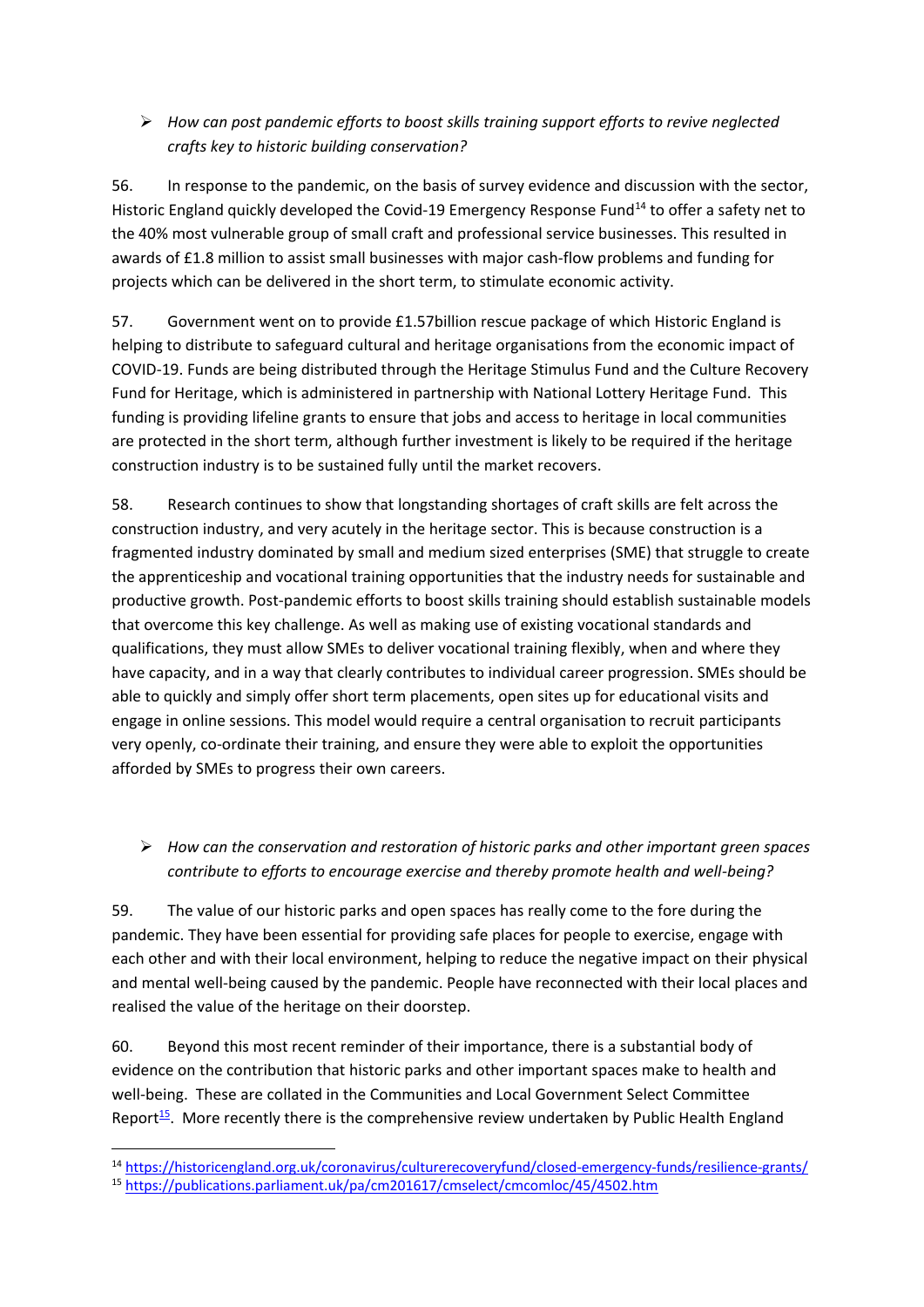## ➢ *How can post pandemic efforts to boost skills training support efforts to revive neglected crafts key to historic building conservation?*

56. In response to the pandemic, on the basis of survey evidence and discussion with the sector, Historic England quickly developed the Covid-19 Emergency Response Fund<sup>14</sup> to offer a safety net to the 40% most vulnerable group of small craft and professional service businesses. This resulted in awards of £1.8 million to assist small businesses with major cash-flow problems and funding for projects which can be delivered in the short term, to stimulate economic activity.

57. Government went on to provide £1.57billion rescue package of which Historic England is helping to distribute to safeguard cultural and heritage organisations from the economic impact of COVID-19. Funds are being distributed through the Heritage Stimulus Fund and the Culture Recovery Fund for Heritage, which is administered in partnership with National Lottery Heritage Fund. This funding is providing lifeline grants to ensure that jobs and access to heritage in local communities are protected in the short term, although further investment is likely to be required if the heritage construction industry is to be sustained fully until the market recovers.

58. Research continues to show that longstanding shortages of craft skills are felt across the construction industry, and very acutely in the heritage sector. This is because construction is a fragmented industry dominated by small and medium sized enterprises (SME) that struggle to create the apprenticeship and vocational training opportunities that the industry needs for sustainable and productive growth. Post-pandemic efforts to boost skills training should establish sustainable models that overcome this key challenge. As well as making use of existing vocational standards and qualifications, they must allow SMEs to deliver vocational training flexibly, when and where they have capacity, and in a way that clearly contributes to individual career progression. SMEs should be able to quickly and simply offer short term placements, open sites up for educational visits and engage in online sessions. This model would require a central organisation to recruit participants very openly, co-ordinate their training, and ensure they were able to exploit the opportunities afforded by SMEs to progress their own careers.

# ➢ *How can the conservation and restoration of historic parks and other important green spaces contribute to efforts to encourage exercise and thereby promote health and well-being?*

59. The value of our historic parks and open spaces has really come to the fore during the pandemic. They have been essential for providing safe places for people to exercise, engage with each other and with their local environment, helping to reduce the negative impact on their physical and mental well-being caused by the pandemic. People have reconnected with their local places and realised the value of the heritage on their doorstep.

60. Beyond this most recent reminder of their importance, there is a substantial body of evidence on the contribution that historic parks and other important spaces make to health and well-being. These are collated in the Communities and Local Government Select Committee Report<sup>15</sup>. More recently there is the comprehensive review undertaken by Public Health England

<sup>14</sup> <https://historicengland.org.uk/coronavirus/culturerecoveryfund/closed-emergency-funds/resilience-grants/>

<sup>15</sup> <https://publications.parliament.uk/pa/cm201617/cmselect/cmcomloc/45/4502.htm>